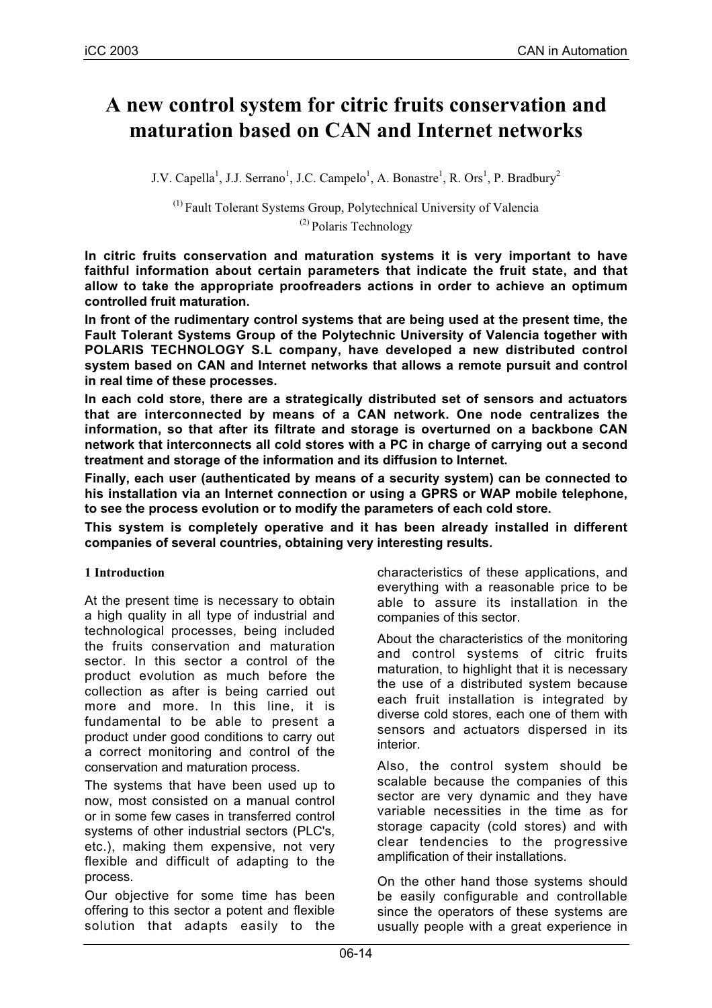# **A new control system for citric fruits conservation and maturation based on CAN and Internet networks**

J.V. Capella<sup>1</sup>, J.J. Serrano<sup>1</sup>, J.C. Campelo<sup>1</sup>, A. Bonastre<sup>1</sup>, R. Ors<sup>1</sup>, P. Bradbury<sup>2</sup>

 $<sup>(1)</sup>$  Fault Tolerant Systems Group, Polytechnical University of Valencia</sup> (2) Polaris Technology

**In citric fruits conservation and maturation systems it is very important to have faithful information about certain parameters that indicate the fruit state, and that allow to take the appropriate proofreaders actions in order to achieve an optimum controlled fruit maturation.**

**In front of the rudimentary control systems that are being used at the present time, the Fault Tolerant Systems Group of the Polytechnic University of Valencia together with POLARIS TECHNOLOGY S.L company, have developed a new distributed control system based on CAN and Internet networks that allows a remote pursuit and control in real time of these processes.**

**In each cold store, there are a strategically distributed set of sensors and actuators that are interconnected by means of a CAN network. One node centralizes the information, so that after its filtrate and storage is overturned on a backbone CAN network that interconnects all cold stores with a PC in charge of carrying out a second treatment and storage of the information and its diffusion to Internet.**

**Finally, each user (authenticated by means of a security system) can be connected to his installation via an Internet connection or using a GPRS or WAP mobile telephone, to see the process evolution or to modify the parameters of each cold store.**

**This system is completely operative and it has been already installed in different companies of several countries, obtaining very interesting results.**

### **1 Introduction**

At the present time is necessary to obtain a high quality in all type of industrial and technological processes, being included the fruits conservation and maturation sector. In this sector a control of the product evolution as much before the collection as after is being carried out more and more. In this line, it is fundamental to be able to present a product under good conditions to carry out a correct monitoring and control of the conservation and maturation process.

The systems that have been used up to now, most consisted on a manual control or in some few cases in transferred control systems of other industrial sectors (PLC's, etc.), making them expensive, not very flexible and difficult of adapting to the process.

Our objective for some time has been offering to this sector a potent and flexible solution that adapts easily to the

characteristics of these applications, and everything with a reasonable price to be able to assure its installation in the companies of this sector.

About the characteristics of the monitoring and control systems of citric fruits maturation, to highlight that it is necessary the use of a distributed system because each fruit installation is integrated by diverse cold stores, each one of them with sensors and actuators dispersed in its interior.

Also, the control system should be scalable because the companies of this sector are very dynamic and they have variable necessities in the time as for storage capacity (cold stores) and with clear tendencies to the progressive amplification of their installations.

On the other hand those systems should be easily configurable and controllable since the operators of these systems are usually people with a great experience in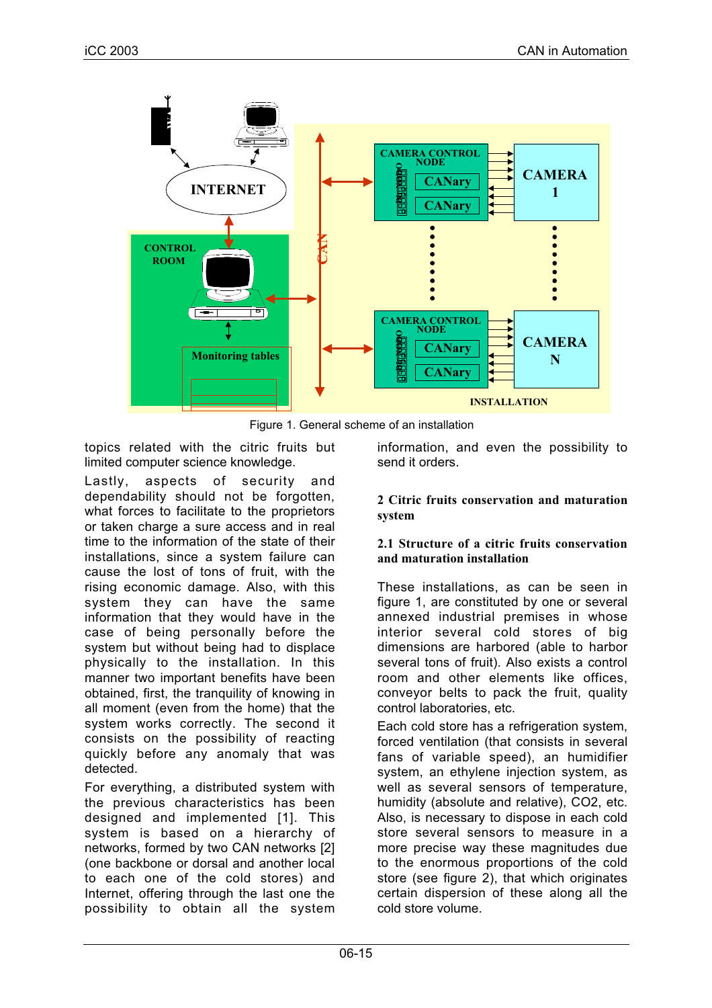



topics related with the citric fruits but limited computer science knowledge.

Lastly, aspects of security and dependability should not be forgotten, what forces to facilitate to the proprietors or taken charge a sure access and in real time to the information of the state of their installations, since a system failure can cause the lost of tons of fruit, with the rising economic damage. Also, with this system they can have the same information that they would have in the case of being personally before the system but without being had to displace physically to the installation. In this manner two important benefits have been obtained, first, the tranquility of knowing in all moment (even from the home) that the system works correctly. The second it consists on the possibility of reacting quickly before any anomaly that was detected.

For everything, a distributed system with the previous characteristics has been designed and implemented [1]. This system is based on a hierarchy of networks, formed by two CAN networks [2] (one backbone or dorsal and another local to each one of the cold stores) and Internet, offering through the last one the possibility to obtain all the system

information, and even the possibility to send it orders.

### **2 Citric fruits conservation and maturation system**

### **2.1 Structure of a citric fruits conservation and maturation installation**

These installations, as can be seen in figure 1, are constituted by one or several annexed industrial premises in whose interior several cold stores of big dimensions are harbored (able to harbor several tons of fruit). Also exists a control room and other elements like offices, conveyor belts to pack the fruit, quality control laboratories, etc.

Each cold store has a refrigeration system. forced ventilation (that consists in several fans of variable speed), an humidifier system, an ethylene injection system, as well as several sensors of temperature, humidity (absolute and relative), CO2, etc. Also, is necessary to dispose in each cold store several sensors to measure in a more precise way these magnitudes due to the enormous proportions of the cold store (see figure 2), that which originates certain dispersion of these along all the cold store volume.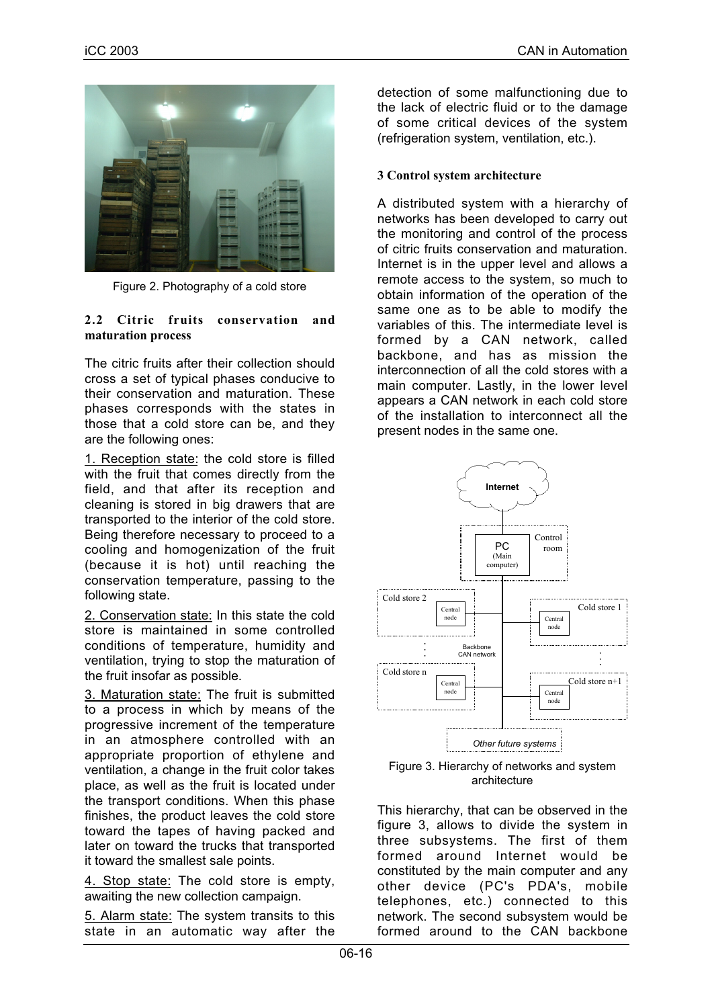

Figure 2. Photography of a cold store

#### **2.2 Citric fruits conservation and maturation process**

The citric fruits after their collection should cross a set of typical phases conducive to their conservation and maturation. These phases corresponds with the states in those that a cold store can be, and they are the following ones:

1. Reception state: the cold store is filled with the fruit that comes directly from the field, and that after its reception and cleaning is stored in big drawers that are transported to the interior of the cold store. Being therefore necessary to proceed to a cooling and homogenization of the fruit (because it is hot) until reaching the conservation temperature, passing to the following state.

2. Conservation state: In this state the cold store is maintained in some controlled conditions of temperature, humidity and ventilation, trying to stop the maturation of the fruit insofar as possible.

3. Maturation state: The fruit is submitted to a process in which by means of the progressive increment of the temperature in an atmosphere controlled with an appropriate proportion of ethylene and ventilation, a change in the fruit color takes place, as well as the fruit is located under the transport conditions. When this phase finishes, the product leaves the cold store toward the tapes of having packed and later on toward the trucks that transported it toward the smallest sale points.

4. Stop state: The cold store is empty, awaiting the new collection campaign.

5. Alarm state: The system transits to this state in an automatic way after the detection of some malfunctioning due to the lack of electric fluid or to the damage of some critical devices of the system (refrigeration system, ventilation, etc.).

### **3 Control system architecture**

A distributed system with a hierarchy of networks has been developed to carry out the monitoring and control of the process of citric fruits conservation and maturation. Internet is in the upper level and allows a remote access to the system, so much to obtain information of the operation of the same one as to be able to modify the variables of this. The intermediate level is formed by a CAN network, called backbone, and has as mission the interconnection of all the cold stores with a main computer. Lastly, in the lower level appears a CAN network in each cold store of the installation to interconnect all the present nodes in the same one.



Figure 3. Hierarchy of networks and system architecture

This hierarchy, that can be observed in the figure 3, allows to divide the system in three subsystems. The first of them formed around Internet would be constituted by the main computer and any other device (PC's PDA's, mobile telephones, etc.) connected to this network. The second subsystem would be formed around to the CAN backbone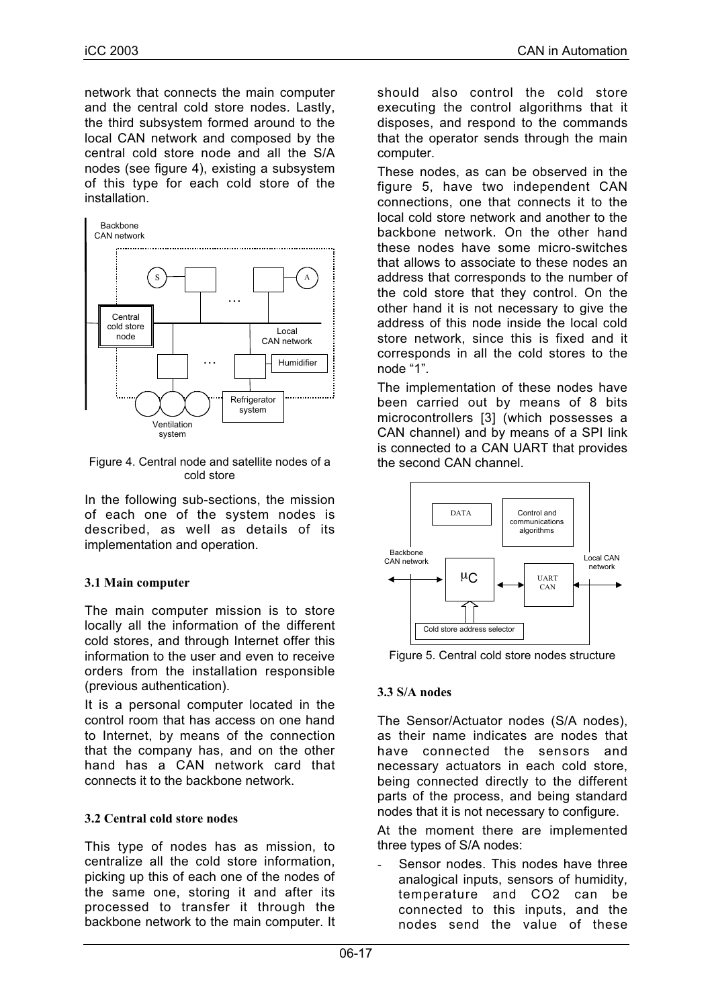network that connects the main computer and the central cold store nodes. Lastly, the third subsystem formed around to the local CAN network and composed by the central cold store node and all the S/A nodes (see figure 4), existing a subsystem of this type for each cold store of the installation.



Figure 4. Central node and satellite nodes of a cold store

In the following sub-sections, the mission of each one of the system nodes is described, as well as details of its implementation and operation.

## **3.1 Main computer**

The main computer mission is to store locally all the information of the different cold stores, and through Internet offer this information to the user and even to receive orders from the installation responsible (previous authentication).

It is a personal computer located in the control room that has access on one hand to Internet, by means of the connection that the company has, and on the other hand has a CAN network card that connects it to the backbone network.

# **3.2 Central cold store nodes**

This type of nodes has as mission, to centralize all the cold store information, picking up this of each one of the nodes of the same one, storing it and after its processed to transfer it through the backbone network to the main computer. It should also control the cold store executing the control algorithms that it disposes, and respond to the commands that the operator sends through the main computer.

These nodes, as can be observed in the figure 5, have two independent CAN connections, one that connects it to the local cold store network and another to the backbone network. On the other hand these nodes have some micro-switches that allows to associate to these nodes an address that corresponds to the number of the cold store that they control. On the other hand it is not necessary to give the address of this node inside the local cold store network, since this is fixed and it corresponds in all the cold stores to the node "1".

The implementation of these nodes have been carried out by means of 8 bits microcontrollers [3] (which possesses a CAN channel) and by means of a SPI link is connected to a CAN UART that provides the second CAN channel.



Figure 5. Central cold store nodes structure

## **3.3 S/A nodes**

The Sensor/Actuator nodes (S/A nodes), as their name indicates are nodes that have connected the sensors and necessary actuators in each cold store, being connected directly to the different parts of the process, and being standard nodes that it is not necessary to configure.

At the moment there are implemented three types of S/A nodes:

Sensor nodes. This nodes have three analogical inputs, sensors of humidity, temperature and CO2 can be connected to this inputs, and the nodes send the value of these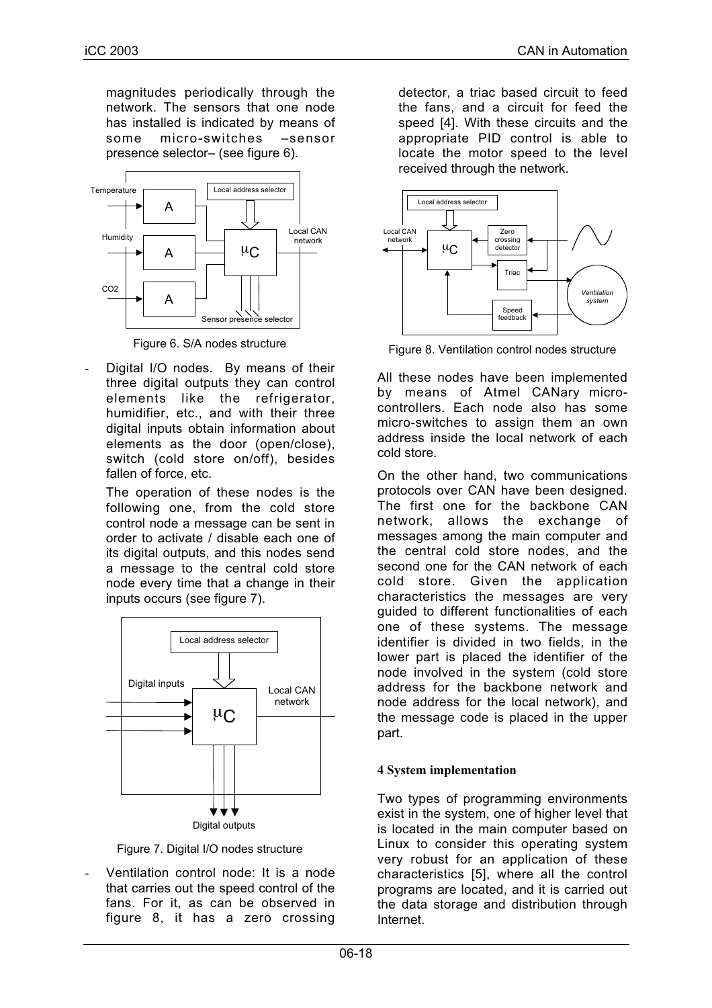magnitudes periodically through the network. The sensors that one node has installed is indicated by means of some micro-switches –sensor presence selector– (see figure 6).



Figure 6. S/A nodes structure

Digital I/O nodes. By means of their three digital outputs they can control elements like the refrigerator, humidifier, etc., and with their three digital inputs obtain information about elements as the door (open/close), switch (cold store on/off), besides fallen of force, etc.

The operation of these nodes is the following one, from the cold store control node a message can be sent in order to activate / disable each one of its digital outputs, and this nodes send a message to the central cold store node every time that a change in their inputs occurs (see figure 7).



Digital outputs

Figure 7. Digital I/O nodes structure

- Ventilation control node: It is a node that carries out the speed control of the fans. For it, as can be observed in figure 8, it has a zero crossing detector, a triac based circuit to feed the fans, and a circuit for feed the speed [4]. With these circuits and the appropriate PID control is able to locate the motor speed to the level received through the network.



Figure 8. Ventilation control nodes structure

All these nodes have been implemented by means of Atmel CANary microcontrollers. Each node also has some micro-switches to assign them an own address inside the local network of each cold store.

On the other hand, two communications protocols over CAN have been designed. The first one for the backbone CAN network, allows the exchange of messages among the main computer and the central cold store nodes, and the second one for the CAN network of each cold store. Given the application characteristics the messages are very guided to different functionalities of each one of these systems. The message identifier is divided in two fields, in the lower part is placed the identifier of the node involved in the system (cold store address for the backbone network and node address for the local network), and the message code is placed in the upper part.

### **4 System implementation**

Two types of programming environments exist in the system, one of higher level that is located in the main computer based on Linux to consider this operating system very robust for an application of these characteristics [5], where all the control programs are located, and it is carried out the data storage and distribution through Internet.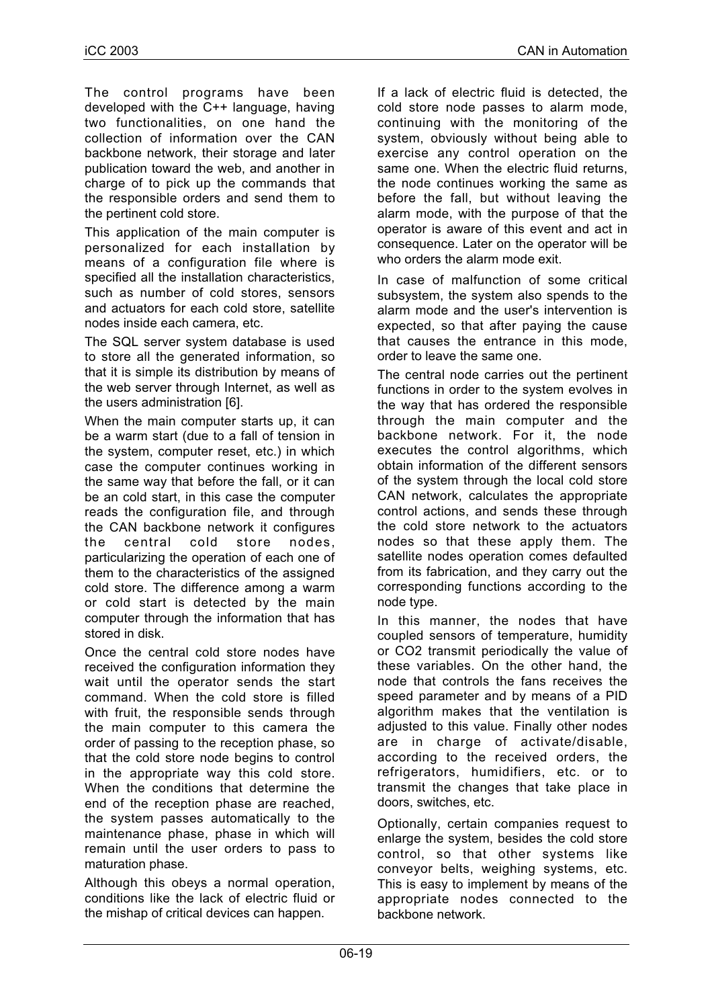The control programs have been developed with the C++ language, having two functionalities, on one hand the collection of information over the CAN backbone network, their storage and later publication toward the web, and another in charge of to pick up the commands that the responsible orders and send them to the pertinent cold store.

This application of the main computer is personalized for each installation by means of a configuration file where is specified all the installation characteristics, such as number of cold stores, sensors and actuators for each cold store, satellite nodes inside each camera, etc.

The SQL server system database is used to store all the generated information, so that it is simple its distribution by means of the web server through Internet, as well as the users administration [6].

When the main computer starts up, it can be a warm start (due to a fall of tension in the system, computer reset, etc.) in which case the computer continues working in the same way that before the fall, or it can be an cold start, in this case the computer reads the configuration file, and through the CAN backbone network it configures the central cold store nodes, particularizing the operation of each one of them to the characteristics of the assigned cold store. The difference among a warm or cold start is detected by the main computer through the information that has stored in disk.

Once the central cold store nodes have received the configuration information they wait until the operator sends the start command. When the cold store is filled with fruit, the responsible sends through the main computer to this camera the order of passing to the reception phase, so that the cold store node begins to control in the appropriate way this cold store. When the conditions that determine the end of the reception phase are reached, the system passes automatically to the maintenance phase, phase in which will remain until the user orders to pass to maturation phase.

Although this obeys a normal operation, conditions like the lack of electric fluid or the mishap of critical devices can happen.

If a lack of electric fluid is detected, the cold store node passes to alarm mode, continuing with the monitoring of the system, obviously without being able to exercise any control operation on the same one. When the electric fluid returns, the node continues working the same as before the fall, but without leaving the alarm mode, with the purpose of that the operator is aware of this event and act in consequence. Later on the operator will be who orders the alarm mode exit.

In case of malfunction of some critical subsystem, the system also spends to the alarm mode and the user's intervention is expected, so that after paying the cause that causes the entrance in this mode, order to leave the same one.

The central node carries out the pertinent functions in order to the system evolves in the way that has ordered the responsible through the main computer and the backbone network. For it, the node executes the control algorithms, which obtain information of the different sensors of the system through the local cold store CAN network, calculates the appropriate control actions, and sends these through the cold store network to the actuators nodes so that these apply them. The satellite nodes operation comes defaulted from its fabrication, and they carry out the corresponding functions according to the node type.

In this manner, the nodes that have coupled sensors of temperature, humidity or CO2 transmit periodically the value of these variables. On the other hand, the node that controls the fans receives the speed parameter and by means of a PID algorithm makes that the ventilation is adjusted to this value. Finally other nodes are in charge of activate/disable, according to the received orders, the refrigerators, humidifiers, etc. or to transmit the changes that take place in doors, switches, etc.

Optionally, certain companies request to enlarge the system, besides the cold store control, so that other systems like conveyor belts, weighing systems, etc. This is easy to implement by means of the appropriate nodes connected to the backbone network.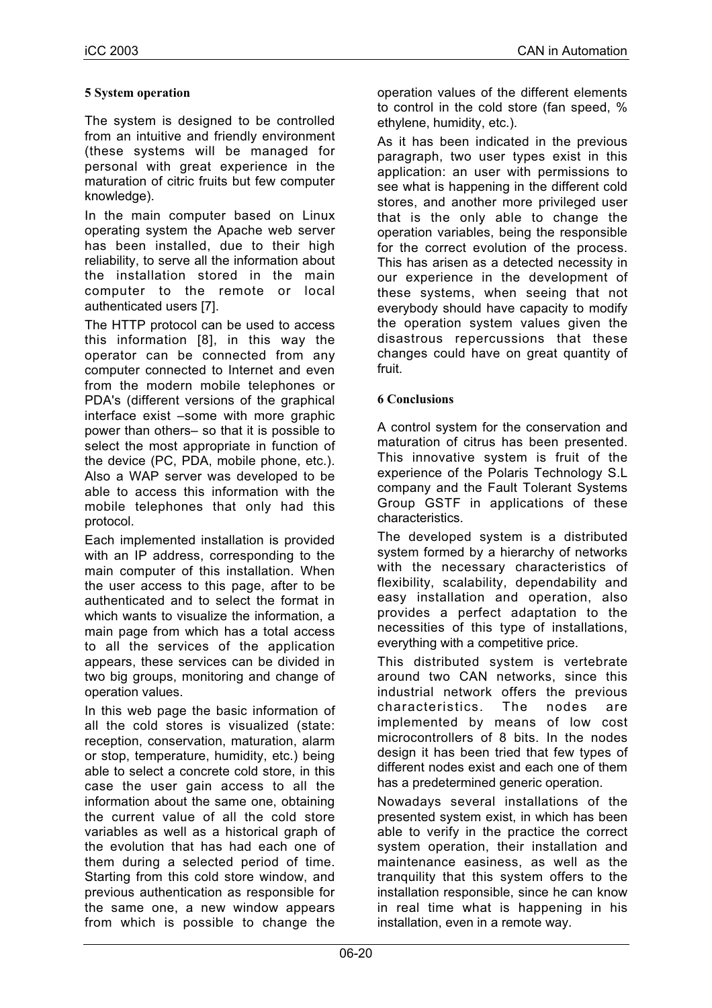### **5 System operation**

The system is designed to be controlled from an intuitive and friendly environment (these systems will be managed for personal with great experience in the maturation of citric fruits but few computer knowledge).

In the main computer based on Linux operating system the Apache web server has been installed, due to their high reliability, to serve all the information about the installation stored in the main computer to the remote or local authenticated users [7].

The HTTP protocol can be used to access this information [8], in this way the operator can be connected from any computer connected to Internet and even from the modern mobile telephones or PDA's (different versions of the graphical interface exist –some with more graphic power than others– so that it is possible to select the most appropriate in function of the device (PC, PDA, mobile phone, etc.). Also a WAP server was developed to be able to access this information with the mobile telephones that only had this protocol.

Each implemented installation is provided with an IP address, corresponding to the main computer of this installation. When the user access to this page, after to be authenticated and to select the format in which wants to visualize the information, a main page from which has a total access to all the services of the application appears, these services can be divided in two big groups, monitoring and change of operation values.

In this web page the basic information of all the cold stores is visualized (state: reception, conservation, maturation, alarm or stop, temperature, humidity, etc.) being able to select a concrete cold store, in this case the user gain access to all the information about the same one, obtaining the current value of all the cold store variables as well as a historical graph of the evolution that has had each one of them during a selected period of time. Starting from this cold store window, and previous authentication as responsible for the same one, a new window appears from which is possible to change the

operation values of the different elements to control in the cold store (fan speed, % ethylene, humidity, etc.).

As it has been indicated in the previous paragraph, two user types exist in this application: an user with permissions to see what is happening in the different cold stores, and another more privileged user that is the only able to change the operation variables, being the responsible for the correct evolution of the process. This has arisen as a detected necessity in our experience in the development of these systems, when seeing that not everybody should have capacity to modify the operation system values given the disastrous repercussions that these changes could have on great quantity of fruit.

### **6 Conclusions**

A control system for the conservation and maturation of citrus has been presented. This innovative system is fruit of the experience of the Polaris Technology S.L company and the Fault Tolerant Systems Group GSTF in applications of these characteristics.

The developed system is a distributed system formed by a hierarchy of networks with the necessary characteristics of flexibility, scalability, dependability and easy installation and operation, also provides a perfect adaptation to the necessities of this type of installations, everything with a competitive price.

This distributed system is vertebrate around two CAN networks, since this industrial network offers the previous characteristics. The nodes are implemented by means of low cost microcontrollers of 8 bits. In the nodes design it has been tried that few types of different nodes exist and each one of them has a predetermined generic operation.

Nowadays several installations of the presented system exist, in which has been able to verify in the practice the correct system operation, their installation and maintenance easiness, as well as the tranquility that this system offers to the installation responsible, since he can know in real time what is happening in his installation, even in a remote way.